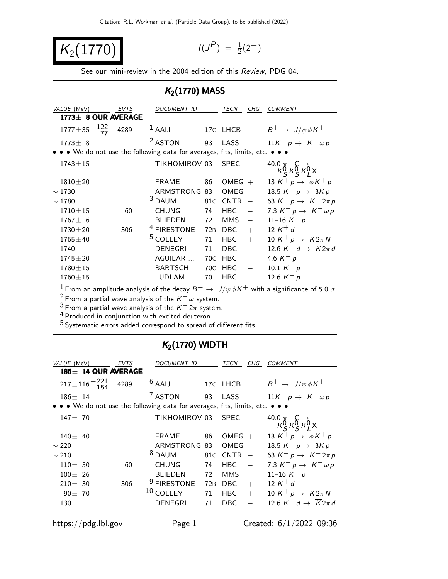$K_2(177)$ 

$$
I(J^P) \; = \; \tfrac{1}{2}(2^-)
$$

See our mini-review in the 2004 edition of this Review, PDG 04.

## $K<sub>2</sub>(1770)$  MASS

|                     | VALUE (MeV)                                                                   | <b>EVTS</b> | DOCUMENT ID            |                 | TECN        | CHG                      | <b>COMMENT</b>                                                                                                                                                     |  |  |  |
|---------------------|-------------------------------------------------------------------------------|-------------|------------------------|-----------------|-------------|--------------------------|--------------------------------------------------------------------------------------------------------------------------------------------------------------------|--|--|--|
| 1773± 8 OUR AVERAGE |                                                                               |             |                        |                 |             |                          |                                                                                                                                                                    |  |  |  |
|                     | $1777 \pm 35 \frac{+122}{77}$ 4289                                            |             | $1$ AAIJ               |                 | 17C LHCB    |                          | $B^+ \rightarrow J/\psi \phi K^+$                                                                                                                                  |  |  |  |
|                     | $1773 \pm 8$                                                                  |             | <sup>2</sup> ASTON     | 93              | LASS        |                          | $11K^- p \rightarrow K^- \omega p$                                                                                                                                 |  |  |  |
|                     | • • • We do not use the following data for averages, fits, limits, etc. • • • |             |                        |                 |             |                          |                                                                                                                                                                    |  |  |  |
|                     | $1743 \pm 15$                                                                 |             | TIKHOMIROV 03          |                 | <b>SPEC</b> |                          | 40.0 $\pi$ <sup>-</sup> $\zeta$ $\rightarrow$<br>$\kappa$ <sup>0</sup> <sub>S</sub> $\kappa$ <sup>0</sup> <sub>S</sub> $\kappa$ <sup>0</sup> <sub>L</sub> $\times$ |  |  |  |
|                     | $1810 \pm 20$                                                                 |             | <b>FRAME</b>           | 86              | OMEG $+$    |                          | 13 K <sup>+</sup> p $\rightarrow \phi K^+ p$                                                                                                                       |  |  |  |
|                     | $\sim$ 1730                                                                   |             | ARMSTRONG 83           |                 | OMEG        | $\hspace{0.1mm}$         | 18.5 $K^- p \rightarrow 3Kp$                                                                                                                                       |  |  |  |
|                     | $\sim 1780$                                                                   |             | $3$ DAUM               | 81C             | $CNTR -$    |                          | 63 K <sup>-</sup> p $\rightarrow$ K <sup>-</sup> 2 $\pi$ p                                                                                                         |  |  |  |
|                     | $1710 \pm 15$                                                                 | 60          | <b>CHUNG</b>           | 74              | HBC         | $\overline{\phantom{m}}$ | 7.3 $K^- p \rightarrow K^- \omega p$                                                                                                                               |  |  |  |
|                     | $1767 \pm 6$                                                                  |             | <b>BLIEDEN</b>         | 72              | <b>MMS</b>  | $\overline{\phantom{m}}$ | 11-16 $K^- p$                                                                                                                                                      |  |  |  |
|                     | $1730 \pm 20$                                                                 | 306         | <sup>4</sup> FIRESTONE | 72 <sub>B</sub> | DBC         | $+$                      | 12 $K^+ d$                                                                                                                                                         |  |  |  |
|                     | $1765 \pm 40$                                                                 |             | <sup>5</sup> COLLEY    | 71              | HBC         | $+$                      | 10 K <sup>+</sup> $p \rightarrow$ K2 $\pi N$                                                                                                                       |  |  |  |
|                     | 1740                                                                          |             | <b>DENEGRI</b>         | 71              | DBC         | $\overline{\phantom{0}}$ | 12.6 $K^-$ d $\rightarrow \overline{K}$ 2 $\pi$ d                                                                                                                  |  |  |  |
|                     | $1745 \pm 20$                                                                 |             | AGUILAR-               | 70C             | <b>HBC</b>  | $\overline{\phantom{m}}$ | 4.6 $K^- p$                                                                                                                                                        |  |  |  |
|                     | $1780 \pm 15$                                                                 |             | <b>BARTSCH</b>         | 70C             | <b>HBC</b>  | $\overline{\phantom{m}}$ | 10.1 $K^- p$                                                                                                                                                       |  |  |  |
|                     | $1760 \pm 15$                                                                 |             | <b>LUDLAM</b>          | 70              | <b>HBC</b>  |                          | 12.6 $K^- p$                                                                                                                                                       |  |  |  |
|                     |                                                                               |             |                        |                 |             |                          | $1$ Erom an amplitude analysis of the decay $R^+$ $\rightarrow$ $1/a/b$ K <sup>+</sup> with a significance of $5.0 \sigma$                                         |  |  |  |

 $1$  From an amplitude analysis of the decay  $B^+ \to \ J/\psi \phi K^+$  with a significance of 5.0  $\sigma.$ 

 $2$  From a partial wave analysis of the  $K^-\omega$  system.

3 From a partial wave analysis of the K<sup>-</sup> 2π system.

4 Produced in conjunction with excited deuteron.

5 Systematic errors added correspond to spread of different fits.

### $K<sub>2</sub>(1770)$  WIDTH

| VALUE (MeV)                                                                   | EVTS | <i>DOCUMENT ID</i>     |    | TECN            | CHG                      | COMMENT                                                                                                                                    |
|-------------------------------------------------------------------------------|------|------------------------|----|-----------------|--------------------------|--------------------------------------------------------------------------------------------------------------------------------------------|
| 186± 14 OUR AVERAGE                                                           |      |                        |    |                 |                          |                                                                                                                                            |
| $217 \pm 116 + 221$                                                           | 4289 | $6$ AAIJ               |    | 17C LHCB        |                          | $B^+ \rightarrow J/\psi \phi K^+$                                                                                                          |
| $186 \pm 14$                                                                  |      | <sup>7</sup> ASTON     | 93 | LASS            |                          | $11K^- p \rightarrow K^- \omega p$                                                                                                         |
| • • • We do not use the following data for averages, fits, limits, etc. • • • |      |                        |    |                 |                          |                                                                                                                                            |
| $147 + 70$                                                                    |      | TIKHOMIROV 03          |    | <b>SPFC</b>     |                          | 40.0 $\pi$ <sup>-</sup> C -><br>$\kappa$ <sup>0</sup> <sub>S</sub> $\kappa$ <sup>0</sup> <sub>S</sub> $\kappa$ <sup>0</sup> <sub>L</sub> X |
| $140 \pm 40$                                                                  |      | FRAME                  | 86 | OMEG $+$        |                          | 13 K <sup>+</sup> p $\rightarrow \phi K^+ p$                                                                                               |
| $\sim$ 220                                                                    |      | ARMSTRONG 83           |    | $OMEG -$        |                          | 18.5 $K^- p \to 3K p$                                                                                                                      |
| $\sim$ 210                                                                    |      | <sup>8</sup> DAUM      |    | 81 $C$ CNTR $-$ |                          | 63 $K^- p \to K^- 2\pi p$                                                                                                                  |
| $110 \pm 50$                                                                  | 60   | <b>CHUNG</b>           | 74 | HBC.            |                          | 7.3 $K^- p \rightarrow K^- \omega p$                                                                                                       |
| $100 \pm 26$                                                                  |      | <b>BLIEDEN</b>         | 72 | MMS.            | $\overline{\phantom{m}}$ | 11-16 $K^- p$                                                                                                                              |
| $210 \pm 30$                                                                  | 306  | <sup>9</sup> FIRESTONE |    | 72B DBC         | $+$                      | 12 $K^+ d$                                                                                                                                 |
| $90 \pm 70$                                                                   |      | $10$ COLLEY            | 71 | $HBC +$         |                          | 10 K <sup>+</sup> p $\rightarrow$ K2 $\pi N$                                                                                               |
| 130                                                                           |      | DENEGRI                | 71 | <b>DBC</b>      |                          | 12.6 $K^-$ d $\rightarrow \overline{K}$ 2 $\pi$ d                                                                                          |
|                                                                               |      |                        |    |                 |                          |                                                                                                                                            |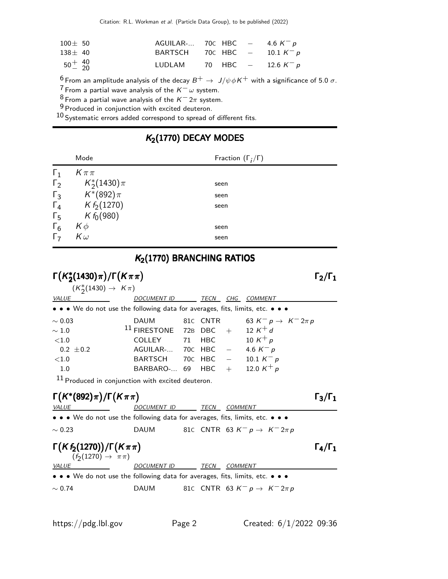Citation: R.L. Workman et al. (Particle Data Group), to be published (2022)

| $100 \pm 50$              | $AGUILAR$ - 70C HBC $-$ 4.6 K <sup>-</sup> p |  |  |
|---------------------------|----------------------------------------------|--|--|
| $138 \pm 40$              | BARTSCH 70c HBC $-$ 10.1 $K^- p$             |  |  |
| $50^{+}_{-}$ $^{40}_{20}$ | LUDLAM 70 HBC $-$ 12.6 K <sup>-</sup> p      |  |  |

<sup>6</sup> From an amplitude analysis of the decay  $B^+ \to J/\psi \phi K^+$  with a significance of 5.0  $\sigma$ .

 $7$  From a partial wave analysis of the  $K^-\omega$  system.

8 From a partial wave analysis of the  $K^- 2\pi$  system.

9 Produced in conjunction with excited deuteron.

 $10$  Systematic errors added correspond to spread of different fits.

#### Mode Fraction  $(\Gamma_j/\Gamma)$  $Γ_1$   $K \pi \pi$  $\Gamma_2$ ∗  $\frac{1}{2}(1430)\pi$  seen  $\frac{\Gamma_3}{\Gamma_4}$  $\sqrt[2]{(892)\pi}$  seen Γ<sub>4</sub>  $K f_2(1270)$  seen<br>Γ<sub>5</sub>  $K f_0(980)$  $Γ_5$   $K f_0(980)$ <br> $Γ_6$   $K \phi$  $\mathsf{F}_6$   $\mathsf{K}\,\phi$  seen  $\overline{\Gamma}$  K  $\omega$  seen

 $K<sub>2</sub>(1770)$  DECAY MODES

## K<sub>2</sub>(1770) BRANCHING RATIOS

| $\Gamma(K_2^*(1430)\pi)/\Gamma(K\pi\pi)$                                                                     |                                                                                                                                                                               |                    |                |                                                                              | $\Gamma_2/\Gamma_1$ |
|--------------------------------------------------------------------------------------------------------------|-------------------------------------------------------------------------------------------------------------------------------------------------------------------------------|--------------------|----------------|------------------------------------------------------------------------------|---------------------|
| $(K_2^*(1430) \to K\pi)$                                                                                     |                                                                                                                                                                               |                    |                |                                                                              |                     |
| <i>VALUE</i><br>• • • We do not use the following data for averages, fits, limits, etc. • • •                | DOCUMENT ID TECN CHG COMMENT                                                                                                                                                  |                    |                |                                                                              |                     |
| $\sim 0.03$<br>$\sim 1.0$<br>< 1.0<br>$0.2 \pm 0.2$<br>${<}1.0$<br>1.0                                       | <b>DAUM</b><br><sup>11</sup> FIRESTONE 72B DBC + 12 K <sup>+</sup> d<br><b>COLLEY</b><br>AGUILAR- 70C HBC $-$ 4.6 $K^- p$<br><b>BARTSCH</b><br>BARBARO- 69 HBC + 12.0 $K^+ p$ | 81C CNTR<br>71 HBC |                | 63 $K^- p \to K^- 2\pi p$<br>10 K <sup>+</sup> p<br>70c HBC $-$ 10.1 $K^- p$ |                     |
| $11$ Produced in conjunction with excited deuteron.<br>$\Gamma(K^*(892)\pi)/\Gamma(K\pi\pi)$<br><b>VALUE</b> | DOCUMENT ID                                                                                                                                                                   | TECN               | <b>COMMENT</b> |                                                                              | $\Gamma_3/\Gamma_1$ |
| • • • We do not use the following data for averages, fits, limits, etc. • • •                                |                                                                                                                                                                               |                    |                |                                                                              |                     |
| $\sim 0.23$                                                                                                  | <b>DAUM</b>                                                                                                                                                                   |                    |                | 810 CNTR 63 $K^- p \to K^- 2\pi p$                                           |                     |
| $\Gamma(Kf_2(1270))/\Gamma(K\pi\pi)$<br>$(f_2(1270) \to \pi\pi)$                                             |                                                                                                                                                                               |                    |                |                                                                              | $\Gamma_4/\Gamma_1$ |
| <i>VALUE</i>                                                                                                 | DOCUMENT ID                                                                                                                                                                   | TECN               | COMMENT        |                                                                              |                     |
| • • • We do not use the following data for averages, fits, limits, etc. • • •                                |                                                                                                                                                                               |                    |                |                                                                              |                     |
| $\sim 0.74$                                                                                                  | <b>DAUM</b>                                                                                                                                                                   |                    |                | 81C CNTR 63 $K^- p \rightarrow K^- 2\pi p$                                   |                     |